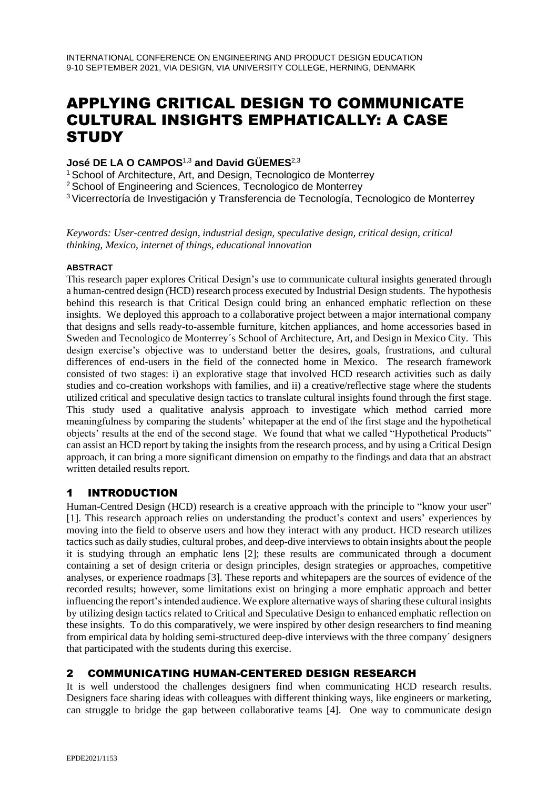# APPLYING CRITICAL DESIGN TO COMMUNICATE CULTURAL INSIGHTS EMPHATICALLY: A CASE **STUDY**

## **José DE LA O CAMPOS**1,3 **and David GÜEMES**2,3

<sup>1</sup> School of Architecture, Art, and Design, Tecnologico de Monterrey

<sup>2</sup> School of Engineering and Sciences, Tecnologico de Monterrey

<sup>3</sup>Vicerrectoría de Investigación y Transferencia de Tecnología, Tecnologico de Monterrey

*Keywords: User-centred design, industrial design, speculative design, critical design, critical thinking, Mexico, internet of things, educational innovation*

#### **ABSTRACT**

This research paper explores Critical Design's use to communicate cultural insights generated through a human-centred design (HCD) research process executed by Industrial Design students. The hypothesis behind this research is that Critical Design could bring an enhanced emphatic reflection on these insights. We deployed this approach to a collaborative project between a major international company that designs and sells ready-to-assemble furniture, kitchen appliances, and home accessories based in Sweden and Tecnologico de Monterrey´s School of Architecture, Art, and Design in Mexico City. This design exercise's objective was to understand better the desires, goals, frustrations, and cultural differences of end-users in the field of the connected home in Mexico. The research framework consisted of two stages: i) an explorative stage that involved HCD research activities such as daily studies and co-creation workshops with families, and ii) a creative/reflective stage where the students utilized critical and speculative design tactics to translate cultural insights found through the first stage. This study used a qualitative analysis approach to investigate which method carried more meaningfulness by comparing the students' whitepaper at the end of the first stage and the hypothetical objects' results at the end of the second stage. We found that what we called "Hypothetical Products" can assist an HCD report by taking the insights from the research process, and by using a Critical Design approach, it can bring a more significant dimension on empathy to the findings and data that an abstract written detailed results report.

## 1 INTRODUCTION

Human-Centred Design (HCD) research is a creative approach with the principle to "know your user" [1]. This research approach relies on understanding the product's context and users' experiences by moving into the field to observe users and how they interact with any product. HCD research utilizes tactics such as daily studies, cultural probes, and deep-dive interviews to obtain insights about the people it is studying through an emphatic lens [2]; these results are communicated through a document containing a set of design criteria or design principles, design strategies or approaches, competitive analyses, or experience roadmaps [3]. These reports and whitepapers are the sources of evidence of the recorded results; however, some limitations exist on bringing a more emphatic approach and better influencing the report's intended audience. We explore alternative ways of sharing these cultural insights by utilizing design tactics related to Critical and Speculative Design to enhanced emphatic reflection on these insights. To do this comparatively, we were inspired by other design researchers to find meaning from empirical data by holding semi-structured deep-dive interviews with the three company´ designers that participated with the students during this exercise.

## 2 COMMUNICATING HUMAN-CENTERED DESIGN RESEARCH

It is well understood the challenges designers find when communicating HCD research results. Designers face sharing ideas with colleagues with different thinking ways, like engineers or marketing, can struggle to bridge the gap between collaborative teams [4]. One way to communicate design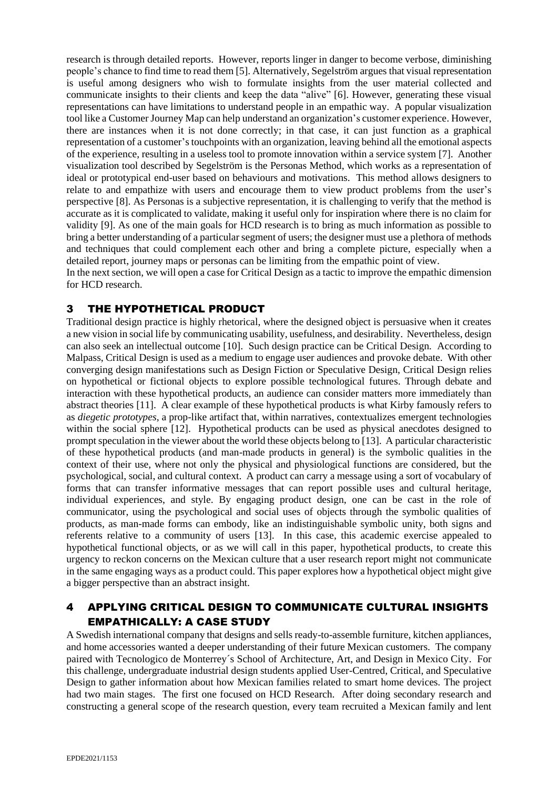research is through detailed reports. However, reports linger in danger to become verbose, diminishing people's chance to find time to read them [5]. Alternatively, Segelström argues that visual representation is useful among designers who wish to formulate insights from the user material collected and communicate insights to their clients and keep the data "alive" [6]. However, generating these visual representations can have limitations to understand people in an empathic way. A popular visualization tool like a Customer Journey Map can help understand an organization's customer experience. However, there are instances when it is not done correctly; in that case, it can just function as a graphical representation of a customer's touchpoints with an organization, leaving behind all the emotional aspects of the experience, resulting in a useless tool to promote innovation within a service system [7]. Another visualization tool described by Segelström is the Personas Method, which works as a representation of ideal or prototypical end-user based on behaviours and motivations. This method allows designers to relate to and empathize with users and encourage them to view product problems from the user's perspective [8]. As Personas is a subjective representation, it is challenging to verify that the method is accurate as it is complicated to validate, making it useful only for inspiration where there is no claim for validity [9]. As one of the main goals for HCD research is to bring as much information as possible to bring a better understanding of a particular segment of users; the designer must use a plethora of methods and techniques that could complement each other and bring a complete picture, especially when a detailed report, journey maps or personas can be limiting from the empathic point of view.

In the next section, we will open a case for Critical Design as a tactic to improve the empathic dimension for HCD research.

## 3 THE HYPOTHETICAL PRODUCT

Traditional design practice is highly rhetorical, where the designed object is persuasive when it creates a new vision in social life by communicating usability, usefulness, and desirability. Nevertheless, design can also seek an intellectual outcome [10]. Such design practice can be Critical Design. According to Malpass, Critical Design is used as a medium to engage user audiences and provoke debate. With other converging design manifestations such as Design Fiction or Speculative Design, Critical Design relies on hypothetical or fictional objects to explore possible technological futures. Through debate and interaction with these hypothetical products, an audience can consider matters more immediately than abstract theories [11]. A clear example of these hypothetical products is what Kirby famously refers to as *diegetic prototypes*, a prop-like artifact that, within narratives, contextualizes emergent technologies within the social sphere [12]. Hypothetical products can be used as physical anecdotes designed to prompt speculation in the viewer about the world these objects belong to [13]. A particular characteristic of these hypothetical products (and man-made products in general) is the symbolic qualities in the context of their use, where not only the physical and physiological functions are considered, but the psychological, social, and cultural context. A product can carry a message using a sort of vocabulary of forms that can transfer informative messages that can report possible uses and cultural heritage, individual experiences, and style. By engaging product design, one can be cast in the role of communicator, using the psychological and social uses of objects through the symbolic qualities of products, as man-made forms can embody, like an indistinguishable symbolic unity, both signs and referents relative to a community of users [13]. In this case, this academic exercise appealed to hypothetical functional objects, or as we will call in this paper, hypothetical products, to create this urgency to reckon concerns on the Mexican culture that a user research report might not communicate in the same engaging ways as a product could. This paper explores how a hypothetical object might give a bigger perspective than an abstract insight.

## 4 APPLYING CRITICAL DESIGN TO COMMUNICATE CULTURAL INSIGHTS EMPATHICALLY: A CASE STUDY

A Swedish international company that designs and sells ready-to-assemble furniture, kitchen appliances, and home accessories wanted a deeper understanding of their future Mexican customers. The company paired with Tecnologico de Monterrey´s School of Architecture, Art, and Design in Mexico City. For this challenge, undergraduate industrial design students applied User-Centred, Critical, and Speculative Design to gather information about how Mexican families related to smart home devices. The project had two main stages. The first one focused on HCD Research. After doing secondary research and constructing a general scope of the research question, every team recruited a Mexican family and lent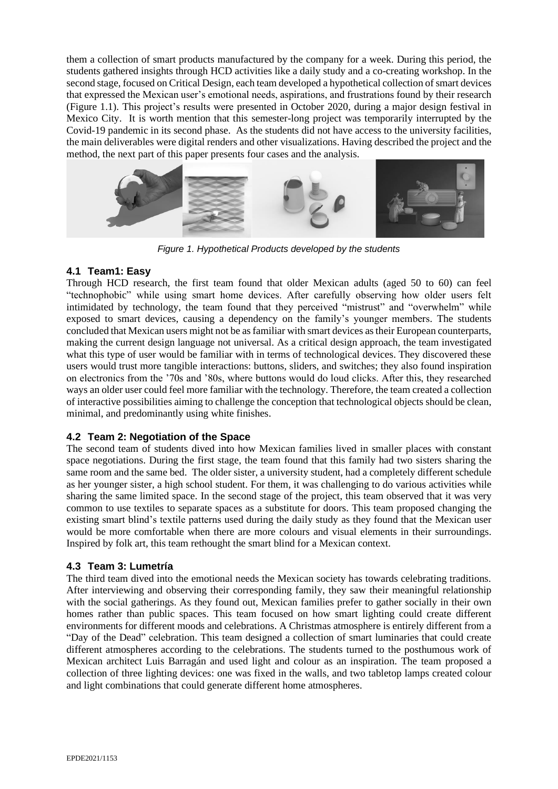them a collection of smart products manufactured by the company for a week. During this period, the students gathered insights through HCD activities like a daily study and a co-creating workshop. In the second stage, focused on Critical Design, each team developed a hypothetical collection of smart devices that expressed the Mexican user's emotional needs, aspirations, and frustrations found by their research (Figure 1.1). This project's results were presented in October 2020, during a major design festival in Mexico City. It is worth mention that this semester-long project was temporarily interrupted by the Covid-19 pandemic in its second phase. As the students did not have access to the university facilities, the main deliverables were digital renders and other visualizations. Having described the project and the method, the next part of this paper presents four cases and the analysis.



*Figure 1. Hypothetical Products developed by the students*

### **4.1 Team1: Easy**

Through HCD research, the first team found that older Mexican adults (aged 50 to 60) can feel "technophobic" while using smart home devices. After carefully observing how older users felt intimidated by technology, the team found that they perceived "mistrust" and "overwhelm" while exposed to smart devices, causing a dependency on the family's younger members. The students concluded that Mexican users might not be as familiar with smart devices as their European counterparts, making the current design language not universal. As a critical design approach, the team investigated what this type of user would be familiar with in terms of technological devices. They discovered these users would trust more tangible interactions: buttons, sliders, and switches; they also found inspiration on electronics from the '70s and '80s, where buttons would do loud clicks. After this, they researched ways an older user could feel more familiar with the technology. Therefore, the team created a collection of interactive possibilities aiming to challenge the conception that technological objects should be clean, minimal, and predominantly using white finishes.

## **4.2 Team 2: Negotiation of the Space**

The second team of students dived into how Mexican families lived in smaller places with constant space negotiations. During the first stage, the team found that this family had two sisters sharing the same room and the same bed. The older sister, a university student, had a completely different schedule as her younger sister, a high school student. For them, it was challenging to do various activities while sharing the same limited space. In the second stage of the project, this team observed that it was very common to use textiles to separate spaces as a substitute for doors. This team proposed changing the existing smart blind's textile patterns used during the daily study as they found that the Mexican user would be more comfortable when there are more colours and visual elements in their surroundings. Inspired by folk art, this team rethought the smart blind for a Mexican context.

### **4.3 Team 3: Lumetría**

The third team dived into the emotional needs the Mexican society has towards celebrating traditions. After interviewing and observing their corresponding family, they saw their meaningful relationship with the social gatherings. As they found out, Mexican families prefer to gather socially in their own homes rather than public spaces. This team focused on how smart lighting could create different environments for different moods and celebrations. A Christmas atmosphere is entirely different from a "Day of the Dead" celebration. This team designed a collection of smart luminaries that could create different atmospheres according to the celebrations. The students turned to the posthumous work of Mexican architect Luis Barragán and used light and colour as an inspiration. The team proposed a collection of three lighting devices: one was fixed in the walls, and two tabletop lamps created colour and light combinations that could generate different home atmospheres.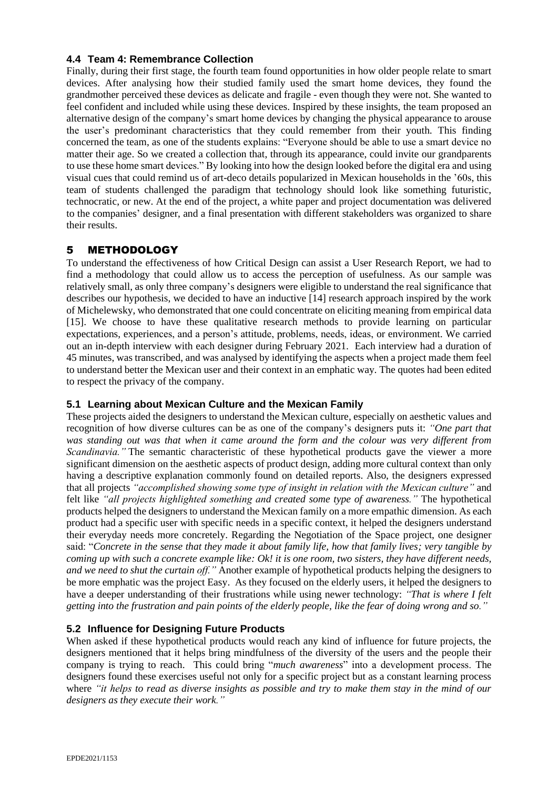### **4.4 Team 4: Remembrance Collection**

Finally, during their first stage, the fourth team found opportunities in how older people relate to smart devices. After analysing how their studied family used the smart home devices, they found the grandmother perceived these devices as delicate and fragile - even though they were not. She wanted to feel confident and included while using these devices. Inspired by these insights, the team proposed an alternative design of the company's smart home devices by changing the physical appearance to arouse the user's predominant characteristics that they could remember from their youth. This finding concerned the team, as one of the students explains: "Everyone should be able to use a smart device no matter their age. So we created a collection that, through its appearance, could invite our grandparents to use these home smart devices." By looking into how the design looked before the digital era and using visual cues that could remind us of art-deco details popularized in Mexican households in the '60s, this team of students challenged the paradigm that technology should look like something futuristic, technocratic, or new. At the end of the project, a white paper and project documentation was delivered to the companies' designer, and a final presentation with different stakeholders was organized to share their results.

### 5 METHODOLOGY

To understand the effectiveness of how Critical Design can assist a User Research Report, we had to find a methodology that could allow us to access the perception of usefulness. As our sample was relatively small, as only three company's designers were eligible to understand the real significance that describes our hypothesis, we decided to have an inductive [14] research approach inspired by the work of Michelewsky, who demonstrated that one could concentrate on eliciting meaning from empirical data [15]. We choose to have these qualitative research methods to provide learning on particular expectations, experiences, and a person's attitude, problems, needs, ideas, or environment. We carried out an in-depth interview with each designer during February 2021. Each interview had a duration of 45 minutes, was transcribed, and was analysed by identifying the aspects when a project made them feel to understand better the Mexican user and their context in an emphatic way. The quotes had been edited to respect the privacy of the company.

### **5.1 Learning about Mexican Culture and the Mexican Family**

These projects aided the designers to understand the Mexican culture, especially on aesthetic values and recognition of how diverse cultures can be as one of the company's designers puts it: *"One part that was standing out was that when it came around the form and the colour was very different from Scandinavia."* The semantic characteristic of these hypothetical products gave the viewer a more significant dimension on the aesthetic aspects of product design, adding more cultural context than only having a descriptive explanation commonly found on detailed reports. Also, the designers expressed that all projects *"accomplished showing some type of insight in relation with the Mexican culture"* and felt like *"all projects highlighted something and created some type of awareness."* The hypothetical products helped the designers to understand the Mexican family on a more empathic dimension. As each product had a specific user with specific needs in a specific context, it helped the designers understand their everyday needs more concretely. Regarding the Negotiation of the Space project, one designer said: "*Concrete in the sense that they made it about family life, how that family lives; very tangible by coming up with such a concrete example like: Ok! it is one room, two sisters, they have different needs, and we need to shut the curtain off."* Another example of hypothetical products helping the designers to be more emphatic was the project Easy. As they focused on the elderly users, it helped the designers to have a deeper understanding of their frustrations while using newer technology: *"That is where I felt getting into the frustration and pain points of the elderly people, like the fear of doing wrong and so."*

### **5.2 Influence for Designing Future Products**

When asked if these hypothetical products would reach any kind of influence for future projects, the designers mentioned that it helps bring mindfulness of the diversity of the users and the people their company is trying to reach. This could bring "*much awareness*" into a development process. The designers found these exercises useful not only for a specific project but as a constant learning process where *"it helps to read as diverse insights as possible and try to make them stay in the mind of our designers as they execute their work."*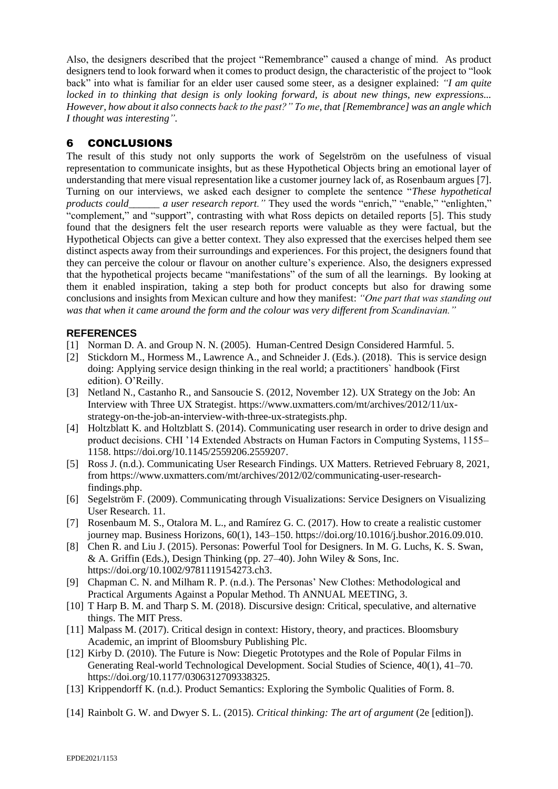Also, the designers described that the project "Remembrance" caused a change of mind. As product designers tend to look forward when it comes to product design, the characteristic of the project to "look back" into what is familiar for an elder user caused some steer, as a designer explained: *"I am quite locked in to thinking that design is only looking forward, is about new things, new expressions... However, how about it also connects back to the past?" To me, that [Remembrance] was an angle which I thought was interesting".*

# 6 CONCLUSIONS

The result of this study not only supports the work of Segelström on the usefulness of visual representation to communicate insights, but as these Hypothetical Objects bring an emotional layer of understanding that mere visual representation like a customer journey lack of, as Rosenbaum argues [7]. Turning on our interviews, we asked each designer to complete the sentence "*These hypothetical products could\_\_\_\_\_\_ a user research report."* They used the words "enrich," "enable," "enlighten," "complement," and "support", contrasting with what Ross depicts on detailed reports [5]. This study found that the designers felt the user research reports were valuable as they were factual, but the Hypothetical Objects can give a better context. They also expressed that the exercises helped them see distinct aspects away from their surroundings and experiences. For this project, the designers found that they can perceive the colour or flavour on another culture's experience. Also, the designers expressed that the hypothetical projects became "manifestations" of the sum of all the learnings. By looking at them it enabled inspiration, taking a step both for product concepts but also for drawing some conclusions and insights from Mexican culture and how they manifest: *"One part that was standing out was that when it came around the form and the colour was very different from Scandinavian."*

## **REFERENCES**

- [1] Norman D. A. and Group N. N. (2005). Human-Centred Design Considered Harmful. 5.
- [2] Stickdorn M., Hormess M., Lawrence A., and Schneider J. (Eds.). (2018). This is service design doing: Applying service design thinking in the real world; a practitioners` handbook (First edition). O'Reilly.
- [3] Netland N., Castanho R., and Sansoucie S. (2012, November 12). UX Strategy on the Job: An Interview with Three UX Strategist. [https://www.uxmatters.com/mt/archives/2012/11/ux](https://www.uxmatters.com/mt/archives/2012/11/ux-strategy-on-the-job-an-interview-with-three-ux-strategists.php)[strategy-on-the-job-an-interview-with-three-ux-strategists.php.](https://www.uxmatters.com/mt/archives/2012/11/ux-strategy-on-the-job-an-interview-with-three-ux-strategists.php)
- [4] Holtzblatt K. and Holtzblatt S. (2014). Communicating user research in order to drive design and product decisions. CHI '14 Extended Abstracts on Human Factors in Computing Systems, 1155– 1158. [https://doi.org/10.1145/2559206.2559207.](https://doi.org/10.1145/2559206.2559207)
- [5] Ross J. (n.d.). Communicating User Research Findings. UX Matters. Retrieved February 8, 2021, fro[m https://www.uxmatters.com/mt/archives/2012/02/communicating-user-research](https://www.uxmatters.com/mt/archives/2012/02/communicating-user-research-findings.php)[findings.php.](https://www.uxmatters.com/mt/archives/2012/02/communicating-user-research-findings.php)
- [6] Segelström F. (2009). Communicating through Visualizations: Service Designers on Visualizing User Research. 11.
- [7] Rosenbaum M. S., Otalora M. L., and Ramírez G. C. (2017). How to create a realistic customer journey map. Business Horizons, 60(1), 143–150. [https://doi.org/10.1016/j.bushor.2016.09.010.](https://doi.org/10.1016/j.bushor.2016.09.010)
- [8] Chen R. and Liu J. (2015). Personas: Powerful Tool for Designers. In M. G. Luchs, K. S. Swan, & A. Griffin (Eds.), Design Thinking (pp. 27–40). John Wiley & Sons, Inc. [https://doi.org/10.1002/9781119154273.ch3.](https://doi.org/10.1002/9781119154273.ch3)
- [9] Chapman C. N. and Milham R. P. (n.d.). The Personas' New Clothes: Methodological and Practical Arguments Against a Popular Method. Th ANNUAL MEETING, 3.
- [10] T Harp B. M. and Tharp S. M. (2018). Discursive design: Critical, speculative, and alternative things. The MIT Press.
- [11] Malpass M. (2017). Critical design in context: History, theory, and practices. Bloomsbury Academic, an imprint of Bloomsbury Publishing Plc.
- [12] Kirby D. (2010). The Future is Now: Diegetic Prototypes and the Role of Popular Films in Generating Real-world Technological Development. Social Studies of Science, 40(1), 41–70. https://doi.org/10.1177/0306312709338325.
- [13] Krippendorff K. (n.d.). Product Semantics: Exploring the Symbolic Qualities of Form. 8.
- [14] Rainbolt G. W. and Dwyer S. L. (2015). *Critical thinking: The art of argument* (2e [edition]).